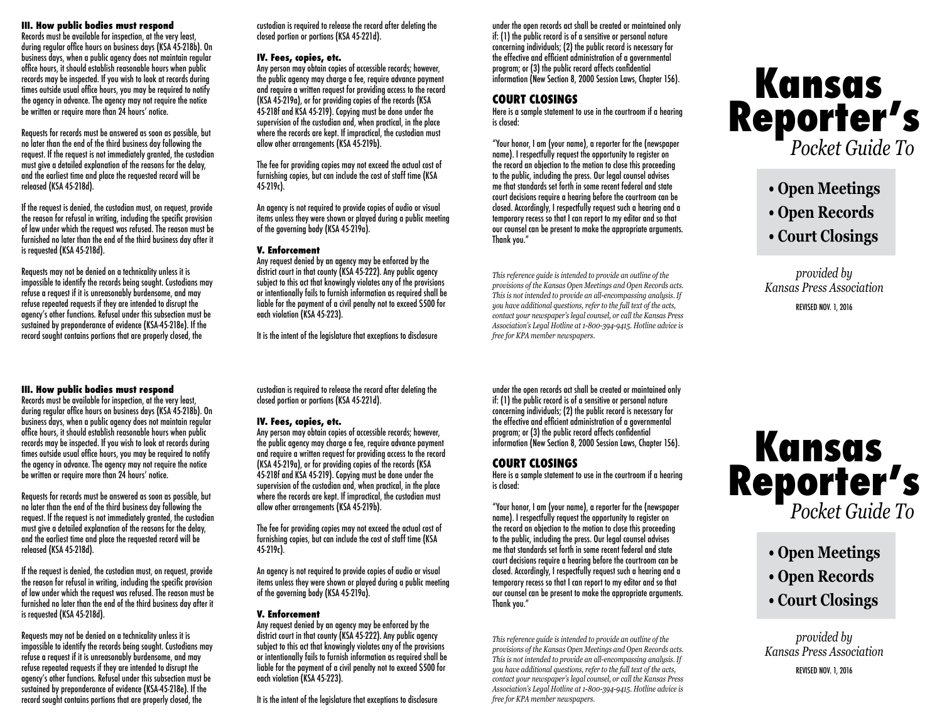#### **III. How public bodies must respond**

Records must be available for inspection, at the very least, during regular office hours on business days (KSA 45-218b). On business days, when a public agency does not maintain regular office hours, it should establish reasonable hours when public records may be inspected. If you wish to look at records during times outside usual office hours, you may be required to notify the agency in advance. The agency may not require the notice be written or require more than 24 hours' notice.

Requests for records must be answered as soon as possible, but no later than the end of the third business day following the request. If the request is not immediately granted, the custodian must give a detailed explanation of the reasons for the delay. and the earliest time and place the requested record will be released (KSA 45-218d).

If the request is denied, the custodian must, on request, provide the reason for refusal in writing, including the specific provision of law under which the request was refused. The reason must be furnished no later than the end of the third business day after it is requested (KSA 45-218d).

Requests may not be denied on a technicality unless it is impossible to identify the records being sought. Custodians may refuse a request if it is unreasonably burdensome, and may refuse repeated requests if they are intended to disrupt the agency's other functions. Refusal under this subsection must be sustained by preponderance of evidence (KSA-45-218e). If the record sought contains portions that are properly closed, the

#### **III. How public bodies must respond**

Records must be available for inspection, at the very least, during regular office hours on business days (KSA 45-218b). On business days, when a public agency does not maintain regular office hours, it should establish reasonable hours when public records may be inspected. If you wish to look at records during times outside usual office hours, you may be required to notify the agency in advance. The agency may not require the notice be written or require more than 24 hours' notice.

Requests for records must be answered as soon as possible, but no later than the end of the third business day following the request. If the request is not immediately granted, the custodian must give a detailed explanation of the reasons for the delay. and the earliest time and place the requested record will be released (KSA 45-218d).

If the request is denied, the custodian must, on request, provide the reason for refusal in writing, including the specific provision of law under which the request was refused. The reason must be furnished no later than the end of the third business day after it is requested (KSA 45-218d).

Requests may not be denied on a technicality unless it is impossible to identify the records being sought. Custodians may refuse a request if it is unreasonably burdensome, and may refuse repeated requests if they are intended to disrupt the agency's other functions. Refusal under this subsection must be sustained by preponderance of evidence (KSA-45-218e). If the record sought contains portions that are properly closed, the

custodian is required to release the record after deleting the closed portion or portions (KSA 45-221d).

#### **IV. Fees, copies, etc.**

Any person may obtain copies of accessible records; however, the public agency may charge a fee, require advance payment and require a written request for providing access to the record (KSA 45-219a), or for providing copies of the records (KSA 45-218f and KSA 45-219). Copying must be done under the supervision of the custodian and, when practical, in the place where the records are kept. If impractical, the custodian must allow other arrangements (KSA 45-219b).

The fee for providing copies may not exceed the actual cost of furnishing copies, but can include the cost of staff time (KSA 45-219c).

An agency is not required to provide copies of audio or visual items unless they were shown or played during a public meeting of the governing body (KSA 45-219a).

#### **V. Enforcement**

Any request denied by an agency may be enforced by the district court in that county (KSA 45-222). Any public agency subject to this act that knowingly violates any of the provisions or intentionally fails to furnish information as required shall be liable for the payment of a civil penalty not to exceed \$500 for each violation (KSA 45-223).

It is the intent of the legislature that exceptions to disclosure

custodian is required to release the record after deleting the

Any person may obtain copies of accessible records; however, the public agency may charge a fee, require advance payment and require a written request for providing access to the record (KSA 45-219a), or for providing copies of the records (KSA 45-218f and KSA 45-219). Copying must be done under the supervision of the custodian and, when practical, in the place where the records are kept. If impractical, the custodian must

The fee for providing copies may not exceed the actual cost of furnishing copies, but can include the cost of staff time (KSA

An agency is not required to provide copies of audio or visual items unless they were shown or played during a public meeting

Any request denied by an agency may be enforced by the district court in that county (KSA 45-222). Any public agency subject to this act that knowingly violates any of the provisions or intentionally fails to furnish information as required shall be liable for the payment of a civil penalty not to exceed \$500 for

It is the intent of the legislature that exceptions to disclosure

closed portion or portions (KSA 45-221d).

allow other arrangements (KSA 45-219b).

of the governing body (KSA 45-219a).

**V. Enforcement**

each violation (KSA 45-223).

**IV. Fees, copies, etc.**

45-219c).

under the open records act shall be created or maintained only if: (1) the public record is of a sensitive or personal nature concerning individuals; (2) the public record is necessary for the effective and efficient administration of a governmental program; or (3) the public record affects confidential information (New Section 8, 2000 Session Laws, Chapter 156).

## **COURT CLOSINGS**

Here is a sample statement to use in the courtroom if a hearing is closed:

"Your honor, I am (your name), a reporter for the (newspaper name). I respectfully request the opportunity to register on the record an objection to the motion to close this proceeding to the public, including the press. Our legal counsel advises me that standards set forth in some recent federal and state court decisions require a hearing before the courtroom can be closed. Accordingly, I respectfully request such a hearing and a temporary recess so that I can report to my editor and so that our counsel can be present to make the appropriate arguments. Thank you."

*This reference guide is intended to provide an outline of the provisions of the Kansas Open Meetings and Open Records acts. This is not intended to provide an all-encompassing analysis. If you have additional questions, refer to the full text of the acts, contact your newspaper's legal counsel, or call the Kansas Press Association's Legal Hotline at 1-800-394-9415. Hotline advice is free for KPA member newspapers.*

under the open records act shall be created or maintained only if: (1) the public record is of a sensitive or personal nature concerning individuals; (2) the public record is necessary for the effective and efficient administration of a governmental program; or (3) the public record affects confidential information (New Section 8, 2000 Session Laws, Chapter 156).

# **COURT CLOSINGS**

Here is a sample statement to use in the courtroom if a hearing is closed:

"Your honor, I am (your name), a reporter for the (newspaper name). I respectfully request the opportunity to register on the record an objection to the motion to close this proceeding to the public, including the press. Our legal counsel advises me that standards set forth in some recent federal and state court decisions require a hearing before the courtroom can be closed. Accordingly, I respectfully request such a hearing and a temporary recess so that I can report to my editor and so that our counsel can be present to make the appropriate arguments. Thank you."

*This reference guide is intended to provide an outline of the provisions of the Kansas Open Meetings and Open Records acts. This is not intended to provide an all-encompassing analysis. If you have additional questions, refer to the full text of the acts, contact your newspaper's legal counsel, or call the Kansas Press Association's Legal Hotline at 1-800-394-9415. Hotline advice is free for KPA member newspapers.*

# **Reporter's** *Pocket Guide To* **Kansas**

- **Open Meetings**
- **Open Records**
- **Court Closings**

*provided by Kansas Press Association*

REVISED NOV. 1, 2016

# **Reporter's** *Pocket Guide To* **Kansas**

- **Open Meetings**
- **Open Records**
- **Court Closings**

*provided by Kansas Press Association*

REVISED NOV. 1, 2016